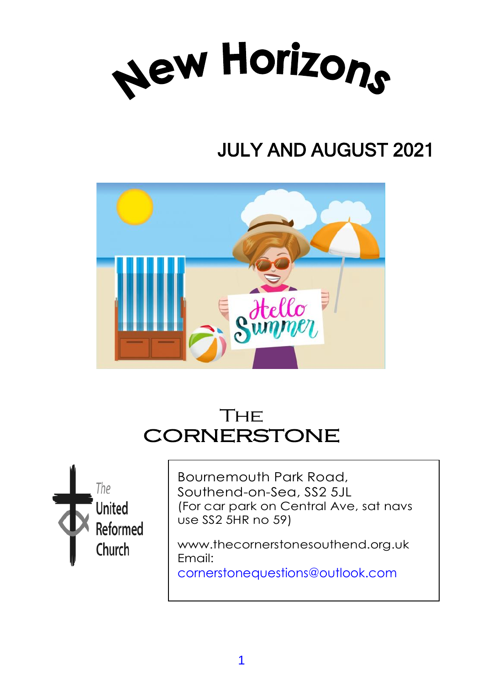

# JULY AND AUGUST 2021



# **THF CORNERSTONE**



Bournemouth Park Road, Southend-on-Sea, SS2 5JL (For car park on Central Ave, sat navs use SS2 5HR no 59)

www.thecornerstonesouthend.org.uk Email:

cornerstonequestions@outlook.com

*Minister:* Rev. SOHAIL EJAZ MA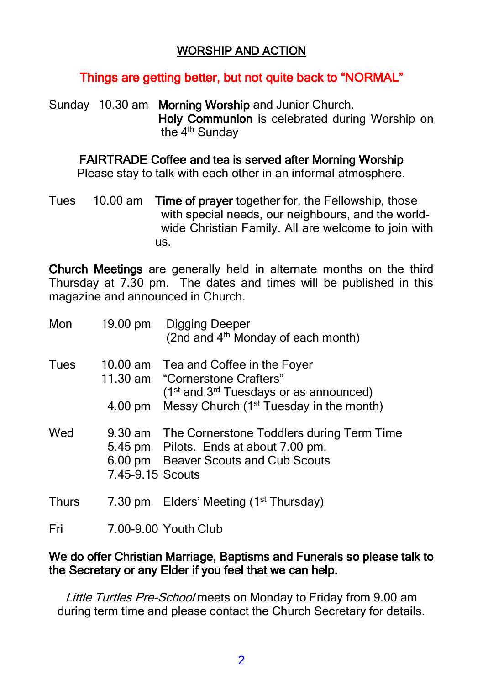#### WORSHIP AND ACTION

#### Things are getting better, but not quite back to "NORMAL"

Sunday 10.30 am Morning Worship and Junior Church. Holy Communion is celebrated during Worship on the 4<sup>th</sup> Sunday

FAIRTRADE Coffee and tea is served after Morning Worship

Please stay to talk with each other in an informal atmosphere.

Tues 10.00 am Time of prayer together for, the Fellowship, those with special needs, our neighbours, and the world wide Christian Family. All are welcome to join with us.

Church Meetings are generally held in alternate months on the third Thursday at 7.30 pm. The dates and times will be published in this magazine and announced in Church.

| Mon          |                  | 19.00 pm Digging Deeper<br>(2nd and 4 <sup>th</sup> Monday of each month)                                                                 |
|--------------|------------------|-------------------------------------------------------------------------------------------------------------------------------------------|
| Tues         |                  | 10.00 am Tea and Coffee in the Foyer<br>11.30 am "Cornerstone Crafters"<br>(1 <sup>st</sup> and 3 <sup>rd</sup> Tuesdays or as announced) |
|              |                  | 4.00 pm Messy Church (1 <sup>st</sup> Tuesday in the month)                                                                               |
| Wed          | 7.45-9.15 Scouts | 9.30 am The Cornerstone Toddlers during Term Time<br>5.45 pm Pilots. Ends at about 7.00 pm.<br>6.00 pm Beaver Scouts and Cub Scouts       |
| <b>Thurs</b> |                  | 7.30 pm Elders' Meeting (1 <sup>st</sup> Thursday)                                                                                        |
| Fri          |                  | 7.00-9.00 Youth Club                                                                                                                      |

#### We do offer Christian Marriage, Baptisms and Funerals so please talk to the Secretary or any Elder if you feel that we can help.

Little Turtles Pre-School meets on Monday to Friday from 9.00 am during term time and please contact the Church Secretary for details.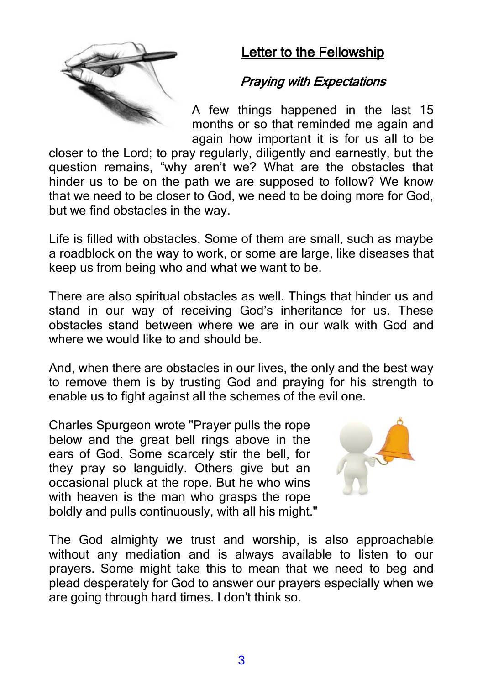

## Letter to the Fellowship

## Praying with Expectations

A few things happened in the last 15 months or so that reminded me again and again how important it is for us all to be

closer to the Lord; to pray regularly, diligently and earnestly, but the question remains, "why aren't we? What are the obstacles that hinder us to be on the path we are supposed to follow? We know that we need to be closer to God, we need to be doing more for God, but we find obstacles in the way.

Life is filled with obstacles. Some of them are small, such as maybe a roadblock on the way to work, or some are large, like diseases that keep us from being who and what we want to be.

There are also spiritual obstacles as well. Things that hinder us and stand in our way of receiving God's inheritance for us. These obstacles stand between where we are in our walk with God and where we would like to and should be.

And, when there are obstacles in our lives, the only and the best way to remove them is by trusting God and praying for his strength to enable us to fight against all the schemes of the evil one.

Charles Spurgeon wrote "Prayer pulls the rope below and the great bell rings above in the ears of God. Some scarcely stir the bell, for they pray so languidly. Others give but an occasional pluck at the rope. But he who wins with heaven is the man who grasps the rope boldly and pulls continuously, with all his might."



The God almighty we trust and worship, is also approachable without any mediation and is always available to listen to our prayers. Some might take this to mean that we need to beg and plead desperately for God to answer our prayers especially when we are going through hard times. I don't think so.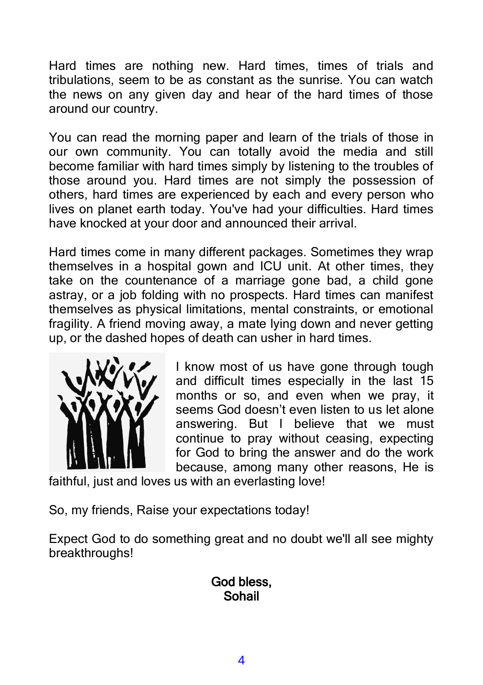Hard times are nothing new. Hard times, times of trials and tribulations, seem to be as constant as the sunrise. You can watch the news on any given day and hear of the hard times of those around our country.

You can read the morning paper and learn of the trials of those in our own community. You can totally avoid the media and still become familiar with hard times simply by listening to the troubles of those around you. Hard times are not simply the possession of others, hard times are experienced by each and every person who lives on planet earth today. You've had your difficulties. Hard times have knocked at your door and announced their arrival.

Hard times come in many different packages. Sometimes they wrap themselves in a hospital gown and ICU unit. At other times, they take on the countenance of a marriage gone bad, a child gone astray, or a job folding with no prospects. Hard times can manifest themselves as physical limitations, mental constraints, or emotional fragility. A friend moving away, a mate lying down and never getting up, or the dashed hopes of death can usher in hard times.



I know most of us have gone through tough and difficult times especially in the last 15 months or so, and even when we pray, it seems God doesn't even listen to us let alone answering. But I believe that we must continue to pray without ceasing, expecting for God to bring the answer and do the work because, among many other reasons, He is

faithful, just and loves us with an everlasting love!

So, my friends, Raise your expectations today!

Expect God to do something great and no doubt we'll all see mighty breakthroughs!

#### God bless, Sohail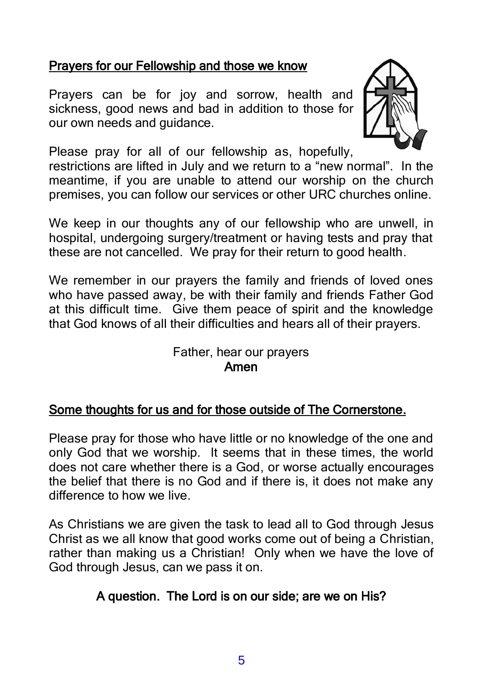#### Prayers for our Fellowship and those we know

Prayers can be for joy and sorrow, health and sickness, good news and bad in addition to those for our own needs and guidance.



Please pray for all of our fellowship as, hopefully,

restrictions are lifted in July and we return to a "new normal". In the meantime, if you are unable to attend our worship on the church premises, you can follow our services or other URC churches online.

We keep in our thoughts any of our fellowship who are unwell, in hospital, undergoing surgery/treatment or having tests and pray that these are not cancelled. We pray for their return to good health.

We remember in our prayers the family and friends of loved ones who have passed away, be with their family and friends Father God at this difficult time. Give them peace of spirit and the knowledge that God knows of all their difficulties and hears all of their prayers.

#### Father, hear our prayers Amen

#### Some thoughts for us and for those outside of The Cornerstone.

Please pray for those who have little or no knowledge of the one and only God that we worship. It seems that in these times, the world does not care whether there is a God, or worse actually encourages the belief that there is no God and if there is, it does not make any difference to how we live.

As Christians we are given the task to lead all to God through Jesus Christ as we all know that good works come out of being a Christian, rather than making us a Christian! Only when we have the love of God through Jesus, can we pass it on.

## A question. The Lord is on our side; are we on His?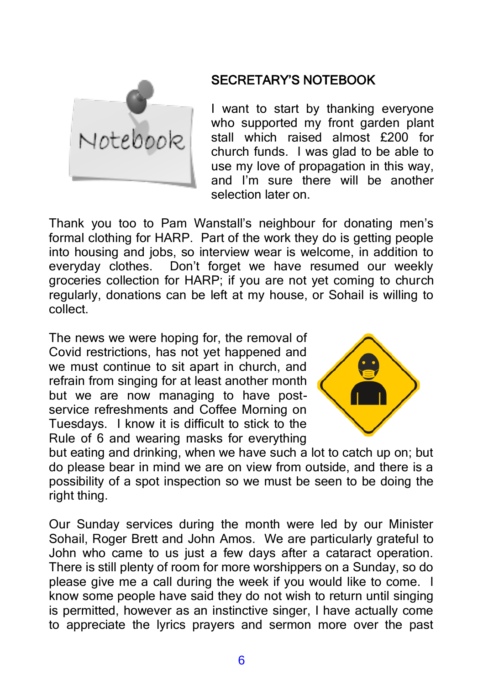

#### SECRETARY'S NOTEBOOK

I want to start by thanking everyone who supported my front garden plant stall which raised almost £200 for church funds. I was glad to be able to use my love of propagation in this way, and I'm sure there will be another selection later on.

Thank you too to Pam Wanstall's neighbour for donating men's formal clothing for HARP. Part of the work they do is getting people into housing and jobs, so interview wear is welcome, in addition to everyday clothes. Don't forget we have resumed our weekly groceries collection for HARP; if you are not yet coming to church regularly, donations can be left at my house, or Sohail is willing to collect.

The news we were hoping for, the removal of Covid restrictions, has not yet happened and we must continue to sit apart in church, and refrain from singing for at least another month but we are now managing to have postservice refreshments and Coffee Morning on Tuesdays. I know it is difficult to stick to the Rule of 6 and wearing masks for everything



but eating and drinking, when we have such a lot to catch up on; but do please bear in mind we are on view from outside, and there is a possibility of a spot inspection so we must be seen to be doing the right thing.

Our Sunday services during the month were led by our Minister Sohail, Roger Brett and John Amos. We are particularly grateful to John who came to us just a few days after a cataract operation. There is still plenty of room for more worshippers on a Sunday, so do please give me a call during the week if you would like to come. I know some people have said they do not wish to return until singing is permitted, however as an instinctive singer, I have actually come to appreciate the lyrics prayers and sermon more over the past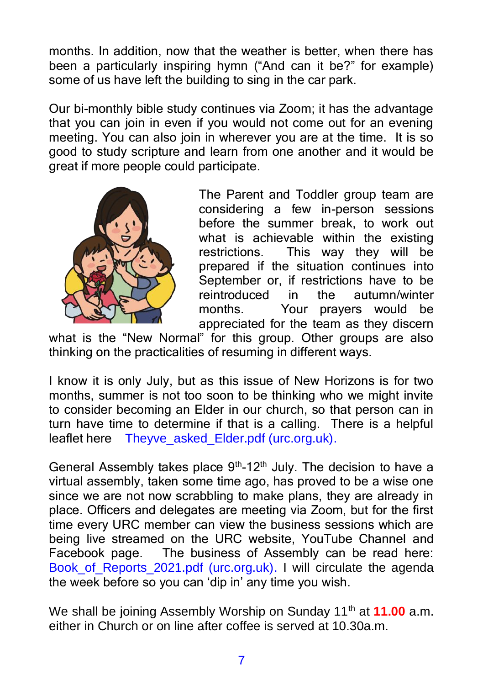months. In addition, now that the weather is better, when there has been a particularly inspiring hymn ("And can it be?" for example) some of us have left the building to sing in the car park.

Our bi-monthly bible study continues via Zoom; it has the advantage that you can join in even if you would not come out for an evening meeting. You can also join in wherever you are at the time. It is so good to study scripture and learn from one another and it would be great if more people could participate.



The Parent and Toddler group team are considering a few in-person sessions before the summer break, to work out what is achievable within the existing restrictions. This way they will be prepared if the situation continues into September or, if restrictions have to be reintroduced in the autumn/winter months. Your prayers would be appreciated for the team as they discern

what is the "New Normal" for this group. Other groups are also thinking on the practicalities of resuming in different ways.

I know it is only July, but as this issue of New Horizons is for two months, summer is not too soon to be thinking who we might invite to consider becoming an Elder in our church, so that person can in turn have time to determine if that is a calling. There is a helpful leaflet here Theyve asked Elder.pdf (urc.org.uk).

General Assembly takes place  $9<sup>th</sup>$ -12<sup>th</sup> July. The decision to have a virtual assembly, taken some time ago, has proved to be a wise one since we are not now scrabbling to make plans, they are already in place. Officers and delegates are meeting via Zoom, but for the first time every URC member can view the business sessions which are being live streamed on the URC website, YouTube Channel and Facebook page. The business of Assembly can be read here: Book of Reports 2021.pdf (urc.org.uk). I will circulate the agenda the week before so you can 'dip in' any time you wish.

We shall be joining Assembly Worship on Sunday 11<sup>th</sup> at **11.00** a.m. either in Church or on line after coffee is served at 10.30a.m.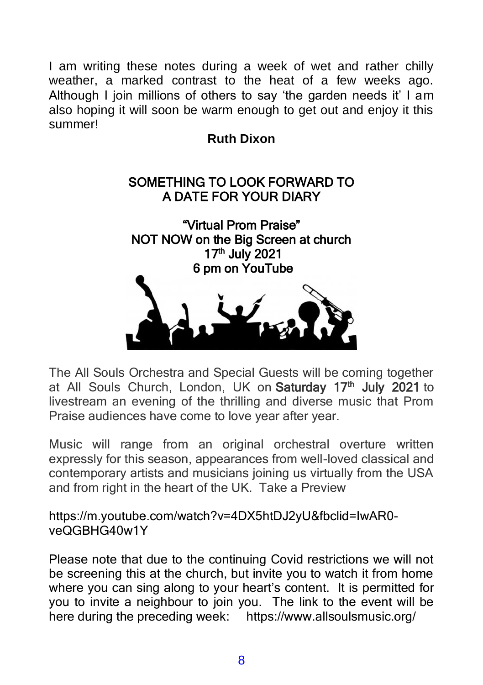I am writing these notes during a week of wet and rather chilly weather, a marked contrast to the heat of a few weeks ago. Although I join millions of others to say 'the garden needs it' I am also hoping it will soon be warm enough to get out and enjoy it this summer!

#### **Ruth Dixon**

#### SOMETHING TO LOOK FORWARD TO A DATE FOR YOUR DIARY



The All Souls Orchestra and Special Guests will be coming together at All Souls Church, London, UK on Saturday 17<sup>th</sup> July 2021 to livestream an evening of the thrilling and diverse music that Prom Praise audiences have come to love year after year.

Music will range from an original orchestral overture written expressly for this season, appearances from well-loved classical and contemporary artists and musicians joining us virtually from the USA and from right in the heart of the UK. Take a Preview

https://m.youtube.com/watch?v=4DX5htDJ2yU&fbclid=IwAR0 veQGBHG40w1Y

Please note that due to the continuing Covid restrictions we will not be screening this at the church, but invite you to watch it from home where you can sing along to your heart's content. It is permitted for you to invite a neighbour to join you. The link to the event will be here during the preceding week: https://www.allsoulsmusic.org/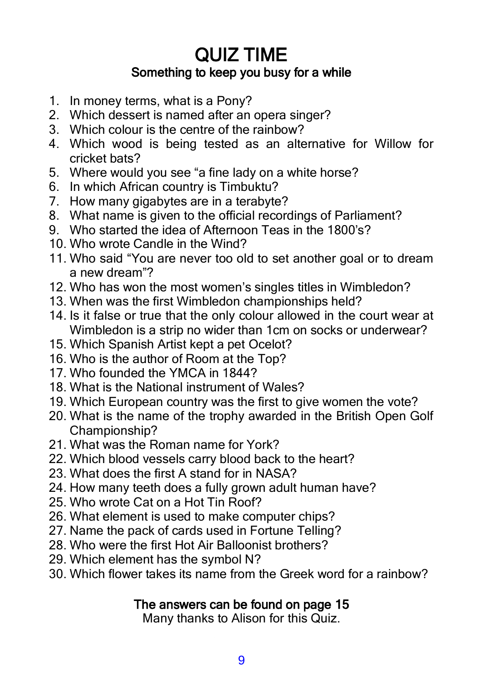# QUIZ TIME Something to keep you busy for a while

- 1. In money terms, what is a Pony?
- 2. Which dessert is named after an opera singer?
- 3. Which colour is the centre of the rainbow?
- 4. Which wood is being tested as an alternative for Willow for cricket bats?
- 5. Where would you see "a fine lady on a white horse?
- 6. In which African country is Timbuktu?
- 7. How many gigabytes are in a terabyte?
- 8. What name is given to the official recordings of Parliament?
- 9. Who started the idea of Afternoon Teas in the 1800's?
- 10. Who wrote Candle in the Wind?
- 11. Who said "You are never too old to set another goal or to dream a new dream"?
- 12. Who has won the most women's singles titles in Wimbledon?
- 13. When was the first Wimbledon championships held?
- 14. Is it false or true that the only colour allowed in the court wear at Wimbledon is a strip no wider than 1cm on socks or underwear?
- 15. Which Spanish Artist kept a pet Ocelot?
- 16. Who is the author of Room at the Top?
- 17. Who founded the YMCA in 1844?
- 18. What is the National instrument of Wales?
- 19. Which European country was the first to give women the vote?
- 20. What is the name of the trophy awarded in the British Open Golf Championship?
- 21. What was the Roman name for York?
- 22. Which blood vessels carry blood back to the heart?
- 23. What does the first A stand for in NASA?
- 24. How many teeth does a fully grown adult human have?
- 25. Who wrote Cat on a Hot Tin Roof?
- 26. What element is used to make computer chips?
- 27. Name the pack of cards used in Fortune Telling?
- 28. Who were the first Hot Air Balloonist brothers?
- 29. Which element has the symbol N?
- 30. Which flower takes its name from the Greek word for a rainbow?

## The answers can be found on page 15

Many thanks to Alison for this Quiz.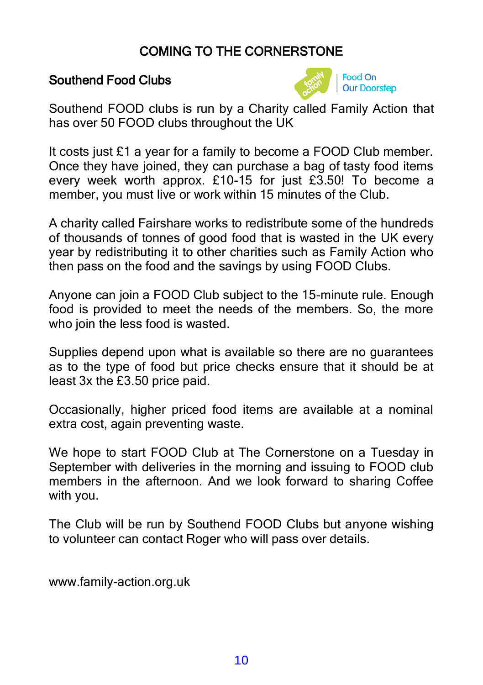## COMING TO THE CORNERSTONE

#### Southend Food Clubs



Southend FOOD clubs is run by a Charity called Family Action that has over 50 FOOD clubs throughout the UK

It costs just £1 a year for a family to become a FOOD Club member. Once they have joined, they can purchase a bag of tasty food items every week worth approx. £10-15 for just £3.50! To become a member, you must live or work within 15 minutes of the Club.

A charity called Fairshare works to redistribute some of the hundreds of thousands of tonnes of good food that is wasted in the UK every year by redistributing it to other charities such as Family Action who then pass on the food and the savings by using FOOD Clubs.

Anyone can join a FOOD Club subject to the 15-minute rule. Enough food is provided to meet the needs of the members. So, the more who join the less food is wasted.

Supplies depend upon what is available so there are no guarantees as to the type of food but price checks ensure that it should be at least 3x the £3.50 price paid.

Occasionally, higher priced food items are available at a nominal extra cost, again preventing waste.

We hope to start FOOD Club at The Cornerstone on a Tuesday in September with deliveries in the morning and issuing to FOOD club members in the afternoon. And we look forward to sharing Coffee with you.

The Club will be run by Southend FOOD Clubs but anyone wishing to volunteer can contact Roger who will pass over details.

www.family-action.org.uk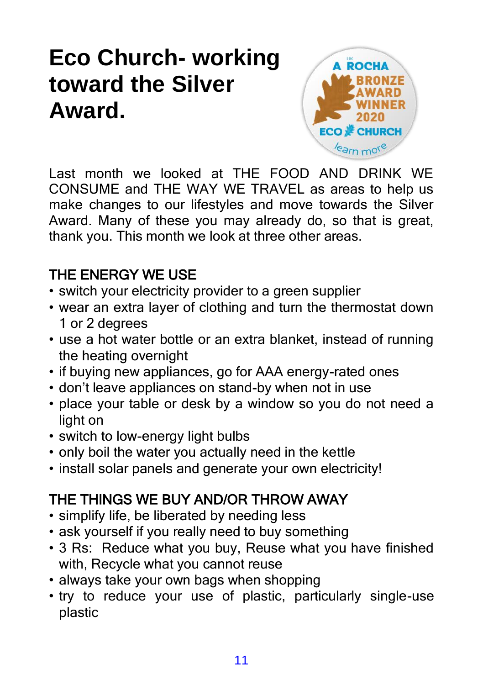# **Eco Church- working toward the Silver Award.**



Last month we looked at THE FOOD AND DRINK WE CONSUME and THE WAY WE TRAVEL as areas to help us make changes to our lifestyles and move towards the Silver Award. Many of these you may already do, so that is great, thank you. This month we look at three other areas.

# THE ENERGY WE USE

- switch your electricity provider to a green supplier
- wear an extra layer of clothing and turn the thermostat down 1 or 2 degrees
- use a hot water bottle or an extra blanket, instead of running the heating overnight
- if buying new appliances, go for AAA energy-rated ones
- don't leave appliances on stand-by when not in use
- place your table or desk by a window so you do not need a light on
- switch to low-energy light bulbs
- only boil the water you actually need in the kettle
- install solar panels and generate your own electricity!

# THE THINGS WE BUY AND/OR THROW AWAY

- simplify life, be liberated by needing less
- ask yourself if you really need to buy something
- 3 Rs: Reduce what you buy, Reuse what you have finished with, Recycle what you cannot reuse
- always take your own bags when shopping
- try to reduce your use of plastic, particularly single-use plastic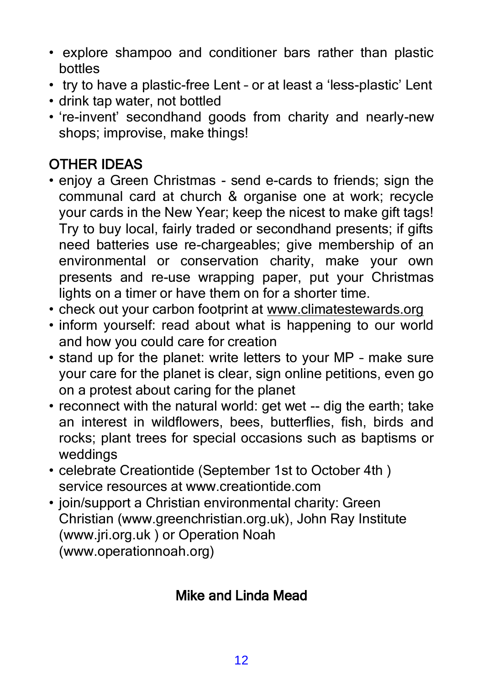- explore shampoo and conditioner bars rather than plastic bottles
- try to have a plastic-free Lent or at least a 'less-plastic' Lent
- drink tap water, not bottled
- 're-invent' secondhand goods from charity and nearly-new shops; improvise, make things!

# OTHER IDEAS

- enjoy a Green Christmas send e-cards to friends; sign the communal card at church & organise one at work; recycle your cards in the New Year; keep the nicest to make gift tags! Try to buy local, fairly traded or secondhand presents; if gifts need batteries use re-chargeables; give membership of an environmental or conservation charity, make your own presents and re-use wrapping paper, put your Christmas lights on a timer or have them on for a shorter time.
- check out your carbon footprint at www.climatestewards.org
- inform yourself: read about what is happening to our world and how you could care for creation
- stand up for the planet: write letters to your MP make sure your care for the planet is clear, sign online petitions, even go on a protest about caring for the planet
- reconnect with the natural world: get wet -- dig the earth; take an interest in wildflowers, bees, butterflies, fish, birds and rocks; plant trees for special occasions such as baptisms or weddings
- celebrate Creationtide (September 1st to October 4th ) service resources at www.creationtide.com
- join/support a Christian environmental charity: Green Christian (www.greenchristian.org.uk), John Ray Institute (www.jri.org.uk ) or Operation Noah (www.operationnoah.org)

# Mike and Linda Mead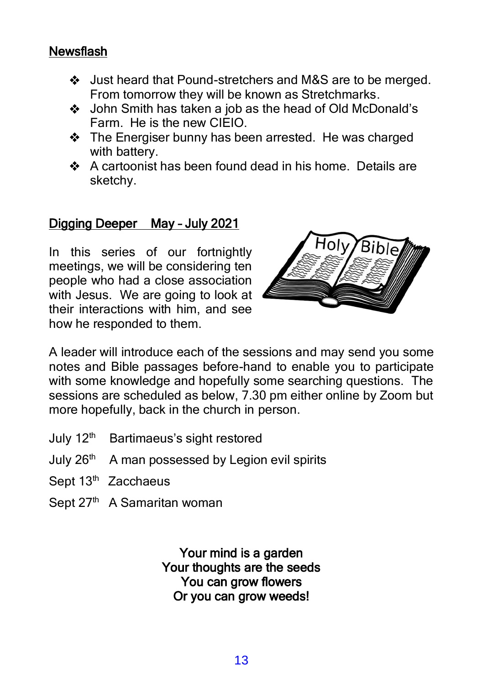### **Newsflash**

- Just heard that Pound-stretchers and M&S are to be merged. From tomorrow they will be known as Stretchmarks.
- John Smith has taken a job as the head of Old McDonald's Farm. He is the new CIEIO.
- The Energiser bunny has been arrested. He was charged with battery.
- A cartoonist has been found dead in his home. Details are sketchy.

#### Digging Deeper May – July 2021

In this series of our fortnightly meetings, we will be considering ten people who had a close association with Jesus. We are going to look at their interactions with him, and see how he responded to them.



A leader will introduce each of the sessions and may send you some notes and Bible passages before-hand to enable you to participate with some knowledge and hopefully some searching questions. The sessions are scheduled as below, 7.30 pm either online by Zoom but more hopefully, back in the church in person.

- July 12<sup>th</sup> Bartimaeus's sight restored
- July 26<sup>th</sup> A man possessed by Legion evil spirits
- Sept 13<sup>th</sup> Zacchaeus
- Sept 27<sup>th</sup> A Samaritan woman

Your mind is a garden Your thoughts are the seeds You can grow flowers Or you can grow weeds!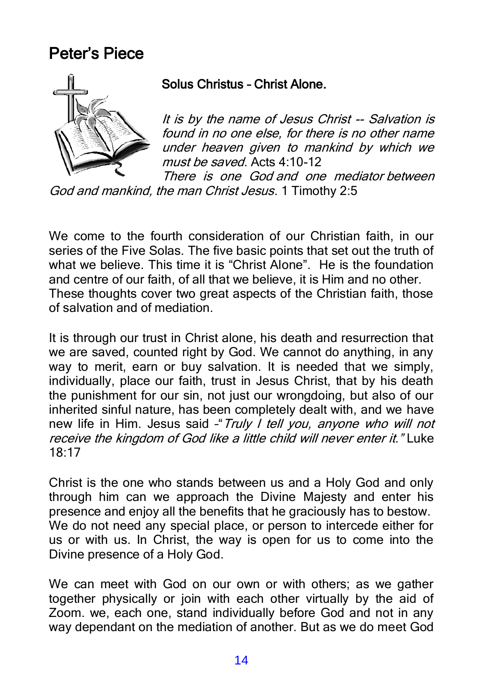# Peter's Piece



#### Solus Christus – Christ Alone.

It is by the name of Jesus Christ -- Salvation is found in no one else, for there is no other name under heaven given to mankind by which we must be saved. Acts 4:10-12

There is one God and one mediator between God and mankind, the man Christ Jesus. 1 Timothy 2:5

We come to the fourth consideration of our Christian faith, in our series of the Five Solas. The five basic points that set out the truth of what we believe. This time it is "Christ Alone". He is the foundation and centre of our faith, of all that we believe, it is Him and no other. These thoughts cover two great aspects of the Christian faith, those of salvation and of mediation.

It is through our trust in Christ alone, his death and resurrection that we are saved, counted right by God. We cannot do anything, in any way to merit, earn or buy salvation. It is needed that we simply, individually, place our faith, trust in Jesus Christ, that by his death the punishment for our sin, not just our wrongdoing, but also of our inherited sinful nature, has been completely dealt with, and we have new life in Him. Jesus said - Truly I tell you, anyone who will not receive the kingdom of God like a little child will never enter it." Luke 18:17

Christ is the one who stands between us and a Holy God and only through him can we approach the Divine Majesty and enter his presence and enjoy all the benefits that he graciously has to bestow. We do not need any special place, or person to intercede either for us or with us. In Christ, the way is open for us to come into the Divine presence of a Holy God.

We can meet with God on our own or with others; as we gather together physically or join with each other virtually by the aid of Zoom. we, each one, stand individually before God and not in any way dependant on the mediation of another. But as we do meet God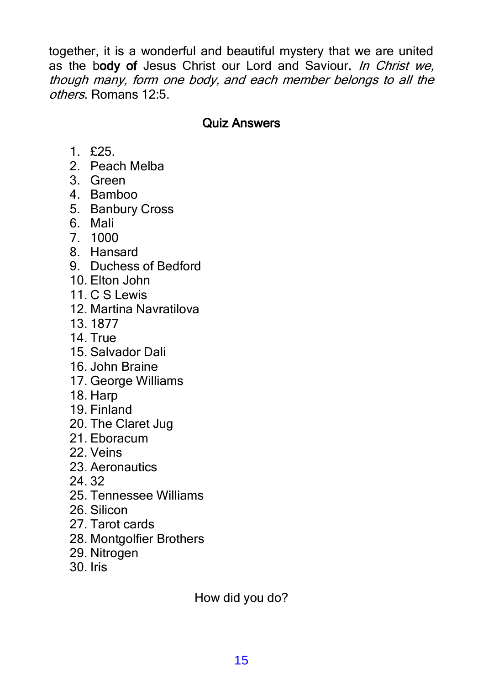together, it is a wonderful and beautiful mystery that we are united as the body of Jesus Christ our Lord and Saviour. In Christ we, though many, form one body, and each member belongs to all the others. Romans 12:5.

#### Quiz Answers

- $1.525$
- 2. Peach Melba
- 3. Green
- 4. Bamboo
- 5. Banbury Cross
- 6. Mali
- 7. 1000
- 8. Hansard
- 9. Duchess of Bedford
- 10. Elton John
- 11. C S Lewis
- 12. Martina Navratilova
- 13. 1877
- 14. True
- 15. Salvador Dali
- 16. John Braine
- 17. George Williams
- 18. Harp
- 19. Finland
- 20. The Claret Jug
- 21. Eboracum
- 22. Veins
- 23. Aeronautics
- 24. 32
- 25. Tennessee Williams
- 26. Silicon
- 27. Tarot cards
- 28. Montgolfier Brothers
- 29. Nitrogen
- 30. Iris

How did you do?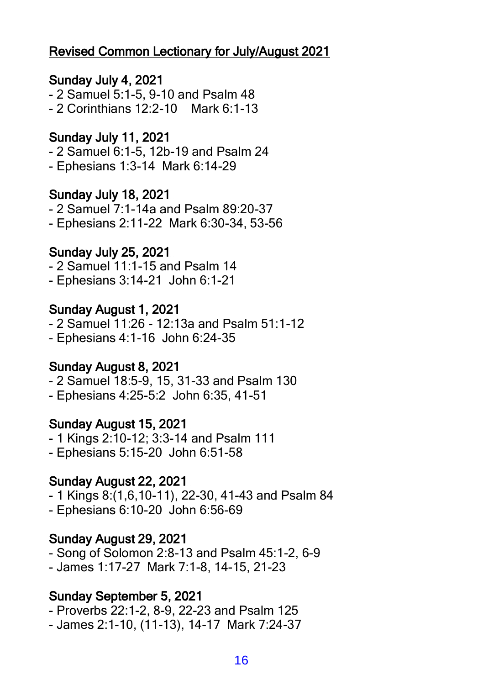### Revised Common Lectionary for July/August 2021

#### Sunday July 4, 2021

- 2 Samuel 5:1-5, 9-10 and Psalm 48 - 2 Corinthians 12:2-10 Mark 6:1-13

# Sunday July 11, 2021

- 2 Samuel 6:1-5, 12b-19 and Psalm 24
- Ephesians 1:3-14 Mark 6:14-29

#### Sunday July 18, 2021

- 2 Samuel 7:1-14a and Psalm 89:20-37
- Ephesians 2:11-22 Mark 6:30-34, 53-56

#### Sunday July 25, 2021

- 2 Samuel 11:1-15 and Psalm 14
- Ephesians 3:14-21 John 6:1-21

#### Sunday August 1, 2021

- 2 Samuel 11:26 12:13a and Psalm 51:1-12
- Ephesians 4:1-16 John 6:24-35

#### Sunday August 8, 2021

- 2 Samuel 18:5-9, 15, 31-33 and Psalm 130
- Ephesians 4:25-5:2 John 6:35, 41-51

#### Sunday August 15, 2021

- 1 Kings 2:10-12; 3:3-14 and Psalm 111
- Ephesians 5:15-20 John 6:51-58

#### Sunday August 22, 2021

- 1 Kings 8:(1,6,10-11), 22-30, 41-43 and Psalm 84
- Ephesians 6:10-20 John 6:56-69

#### Sunday August 29, 2021

- Song of Solomon 2:8-13 and Psalm 45:1-2, 6-9 - James 1:17-27 Mark 7:1-8, 14-15, 21-23

#### Sunday September 5, 2021

- Proverbs 22:1-2, 8-9, 22-23 and Psalm 125
- James 2:1-10, (11-13), 14-17 Mark 7:24-37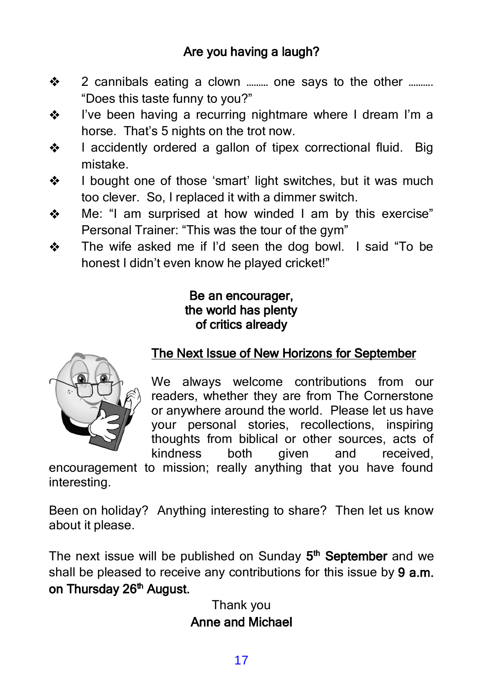- 2 cannibals eating a clown ……… one says to the other ……….  $\clubsuit$ "Does this taste funny to you?"
- I've been having a recurring nightmare where I dream I'm a ❖ horse. That's 5 nights on the trot now.
- I accidently ordered a gallon of tipex correctional fluid. Big ❖ mistake.
- I bought one of those 'smart' light switches, but it was much ❖ too clever. So, I replaced it with a dimmer switch.
- Me: "I am surprised at how winded I am by this exercise" ❖ Personal Trainer: "This was the tour of the gym"
- The wife asked me if I'd seen the dog bowl. I said "To be ❖ honest I didn't even know he played cricket!"

#### Be an encourager, the world has plenty of critics already



## The Next Issue of New Horizons for September

We always welcome contributions from our readers, whether they are from The Cornerstone or anywhere around the world. Please let us have your personal stories, recollections, inspiring thoughts from biblical or other sources, acts of kindness both given and received,

encouragement to mission; really anything that you have found interesting.

Been on holiday? Anything interesting to share? Then let us know about it please.

The next issue will be published on Sunday 5<sup>th</sup> September and we shall be pleased to receive any contributions for this issue by 9 a.m. on Thursday 26<sup>th</sup> August.

> Thank you Anne and Michael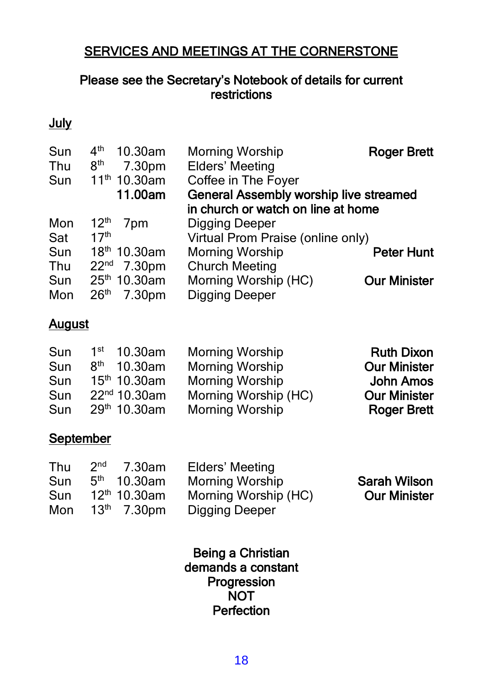## SERVICES AND MEETINGS AT THE CORNERSTONE

#### Please see the Secretary's Notebook of details for current restrictions

#### **July**

| Sun | 4 <sup>th</sup><br>10.30am<br>8 <sup>th</sup> | <b>Morning Worship</b>                 | <b>Roger Brett</b>  |
|-----|-----------------------------------------------|----------------------------------------|---------------------|
| Thu | 7.30pm                                        | Elders' Meeting                        |                     |
| Sun | $11th 10.30$ am                               | Coffee in The Foyer                    |                     |
|     | 11.00am                                       | General Assembly worship live streamed |                     |
|     |                                               | in church or watch on line at home     |                     |
| Mon | 12 <sup>th</sup><br>7 <sub>pm</sub>           | Digging Deeper                         |                     |
| Sat | 17 <sup>th</sup>                              | Virtual Prom Praise (online only)      |                     |
| Sun | 18 <sup>th</sup> 10.30am                      | <b>Morning Worship</b>                 | <b>Peter Hunt</b>   |
| Thu | $22^{nd}$ 7.30pm                              | <b>Church Meeting</b>                  |                     |
| Sun | 25 <sup>th</sup> 10.30am                      | Morning Worship (HC)                   | <b>Our Minister</b> |
| Mon | 26 <sup>th</sup><br>7.30pm                    | Digging Deeper                         |                     |

#### **August**

| <b>Ruth Dixon</b>   | <b>Morning Worship</b> | $1st$ 10.30am            | Sun |
|---------------------|------------------------|--------------------------|-----|
| <b>Our Minister</b> | <b>Morning Worship</b> | $8th$ 10.30am            | Sun |
| <b>John Amos</b>    | <b>Morning Worship</b> | $15th 10.30$ am          | Sun |
| <b>Our Minister</b> | Morning Worship (HC)   | 22 <sup>nd</sup> 10.30am | Sun |
| <b>Roger Brett</b>  | <b>Morning Worship</b> | 29 <sup>th</sup> 10.30am | Sun |
|                     |                        |                          |     |

#### **September**

| Thu | 2 <sub>nd</sub><br>7.30am | Elders' Meeting        |                     |
|-----|---------------------------|------------------------|---------------------|
| Sun | $5th$ 10.30am             | <b>Morning Worship</b> | <b>Sarah Wilson</b> |
| Sun | 12 <sup>th</sup> 10.30am  | Morning Worship (HC)   | <b>Our Minister</b> |
| Mon | $13th$ 7.30pm             | Digging Deeper         |                     |

Being a Christian demands a constant Progression **NOT** Perfection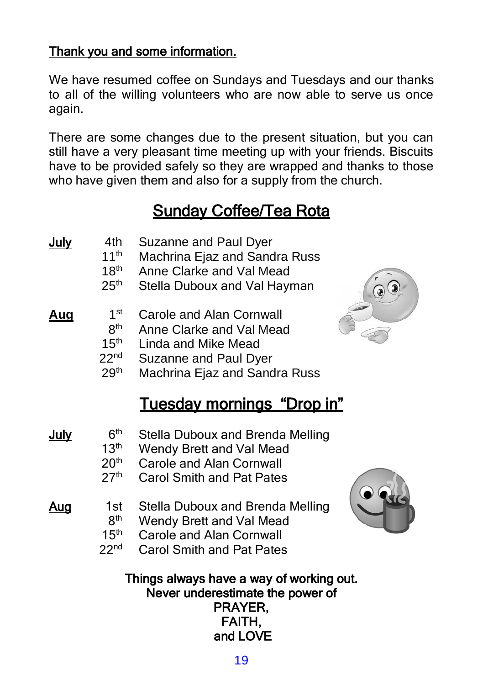## Thank you and some information.

We have resumed coffee on Sundays and Tuesdays and our thanks to all of the willing volunteers who are now able to serve us once again.

There are some changes due to the present situation, but you can still have a very pleasant time meeting up with your friends. Biscuits have to be provided safely so they are wrapped and thanks to those who have given them and also for a supply from the church.

# Sunday Coffee/Tea Rota

| <u>July</u> | 4th<br>11 <sup>th</sup><br>18 <sup>th</sup><br>25 <sup>th</sup>                                | Suzanne and Paul Dyer<br>Machrina Ejaz and Sandra Russ<br>Anne Clarke and Val Mead<br>Stella Duboux and Val Hayman                           |  |
|-------------|------------------------------------------------------------------------------------------------|----------------------------------------------------------------------------------------------------------------------------------------------|--|
| <u>Aug</u>  | 1 <sup>st</sup><br>8 <sup>th</sup><br>15 <sup>th</sup><br>22 <sup>nd</sup><br>29 <sup>th</sup> | <b>Carole and Alan Cornwall</b><br>Anne Clarke and Val Mead<br>Linda and Mike Mead<br>Suzanne and Paul Dyer<br>Machrina Ejaz and Sandra Russ |  |
|             |                                                                                                | <u>Tuesdav mornings "Drop in"</u>                                                                                                            |  |
| <u>July</u> | 6 <sup>th</sup><br>13 <sup>th</sup><br>20 <sup>th</sup><br>27 <sup>th</sup>                    | Stella Duboux and Brenda Melling<br>Wendy Brett and Val Mead<br><b>Carole and Alan Cornwall</b><br><b>Carol Smith and Pat Pates</b>          |  |
| Aug         | 1st<br>8 <sup>th</sup><br>15 <sup>th</sup><br>22 <sup>nd</sup>                                 | Stella Duboux and Brenda Melling<br>Wendy Brett and Val Mead<br><b>Carole and Alan Cornwall</b><br><b>Carol Smith and Pat Pates</b>          |  |
|             |                                                                                                | Things always have a way of working out.<br>Never underestimate the power of<br>PRAYER,<br>FAITH,                                            |  |

and LOVE